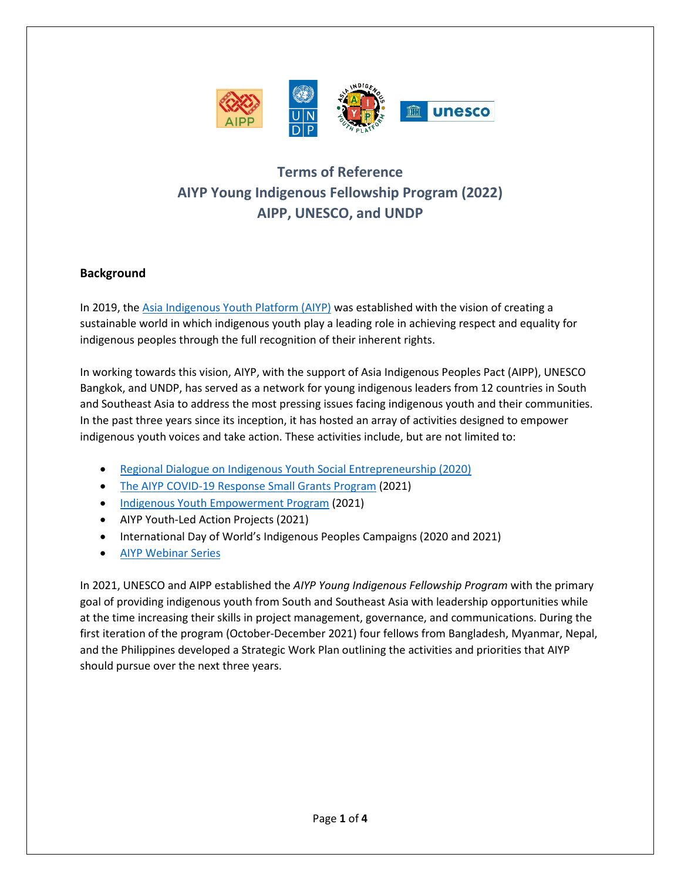

# **Terms of Reference AIYP Young Indigenous Fellowship Program (2022) AIPP, UNESCO, and UNDP**

# **Background**

In 2019, the [Asia Indigenous Youth Platform \(AIYP\)](https://www.facebook.com/AIYP2021) was established with the vision of creating a sustainable world in which indigenous youth play a leading role in achieving respect and equality for indigenous peoples through the full recognition of their inherent rights.

In working towards this vision, AIYP, with the support of Asia Indigenous Peoples Pact (AIPP), UNESCO Bangkok, and UNDP, has served as a network for young indigenous leaders from 12 countries in South and Southeast Asia to address the most pressing issues facing indigenous youth and their communities. In the past three years since its inception, it has hosted an array of activities designed to empower indigenous youth voices and take action. These activities include, but are not limited to:

- [Regional Dialogue on Indigenous Youth Social Entrepreneurship \(2020\)](https://www.rappler.com/moveph/252630-indigenous-youth-asia-pacific-unity/)
- [The AIYP COVID-19 Response Small Grants Program](https://bangkok.unesco.org/content/aiyp-covid-19-response-small-grants-projects) (2021)
- [Indigenous Youth Empowerment Program](https://aippnet.org/call-for-applications-2/) (2021)
- AIYP Youth-Led Action Projects (2021)
- International Day of World's Indigenous Peoples Campaigns (2020 and 2021)
- [AIYP Webinar Series](https://www.youtube.com/channel/UCqiVoxjwJbqcDMBOi-sg5Rg)

In 2021, UNESCO and AIPP established the *AIYP Young Indigenous Fellowship Program* with the primary goal of providing indigenous youth from South and Southeast Asia with leadership opportunities while at the time increasing their skills in project management, governance, and communications. During the first iteration of the program (October-December 2021) four fellows from Bangladesh, Myanmar, Nepal, and the Philippines developed a Strategic Work Plan outlining the activities and priorities that AIYP should pursue over the next three years.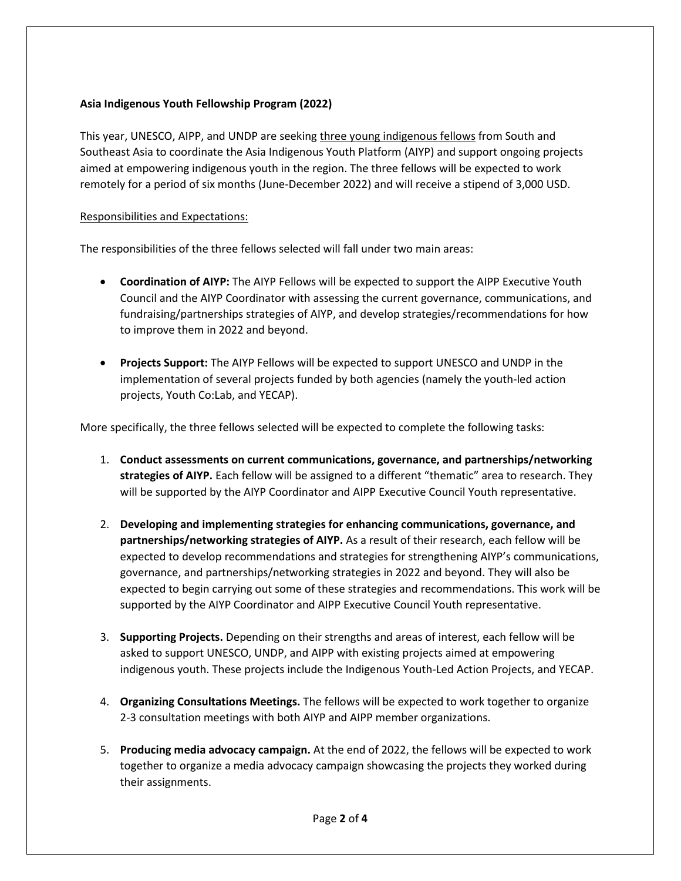## **Asia Indigenous Youth Fellowship Program (2022)**

This year, UNESCO, AIPP, and UNDP are seeking three young indigenous fellows from South and Southeast Asia to coordinate the Asia Indigenous Youth Platform (AIYP) and support ongoing projects aimed at empowering indigenous youth in the region. The three fellows will be expected to work remotely for a period of six months (June-December 2022) and will receive a stipend of 3,000 USD.

#### Responsibilities and Expectations:

The responsibilities of the three fellows selected will fall under two main areas:

- **Coordination of AIYP:** The AIYP Fellows will be expected to support the AIPP Executive Youth Council and the AIYP Coordinator with assessing the current governance, communications, and fundraising/partnerships strategies of AIYP, and develop strategies/recommendations for how to improve them in 2022 and beyond.
- **Projects Support:** The AIYP Fellows will be expected to support UNESCO and UNDP in the implementation of several projects funded by both agencies (namely the youth-led action projects, Youth Co:Lab, and YECAP).

More specifically, the three fellows selected will be expected to complete the following tasks:

- 1. **Conduct assessments on current communications, governance, and partnerships/networking strategies of AIYP.** Each fellow will be assigned to a different "thematic" area to research. They will be supported by the AIYP Coordinator and AIPP Executive Council Youth representative.
- 2. **Developing and implementing strategies for enhancing communications, governance, and partnerships/networking strategies of AIYP.** As a result of their research, each fellow will be expected to develop recommendations and strategies for strengthening AIYP's communications, governance, and partnerships/networking strategies in 2022 and beyond. They will also be expected to begin carrying out some of these strategies and recommendations. This work will be supported by the AIYP Coordinator and AIPP Executive Council Youth representative.
- 3. **Supporting Projects.** Depending on their strengths and areas of interest, each fellow will be asked to support UNESCO, UNDP, and AIPP with existing projects aimed at empowering indigenous youth. These projects include the Indigenous Youth-Led Action Projects, and YECAP.
- 4. **Organizing Consultations Meetings.** The fellows will be expected to work together to organize 2-3 consultation meetings with both AIYP and AIPP member organizations.
- 5. **Producing media advocacy campaign.** At the end of 2022, the fellows will be expected to work together to organize a media advocacy campaign showcasing the projects they worked during their assignments.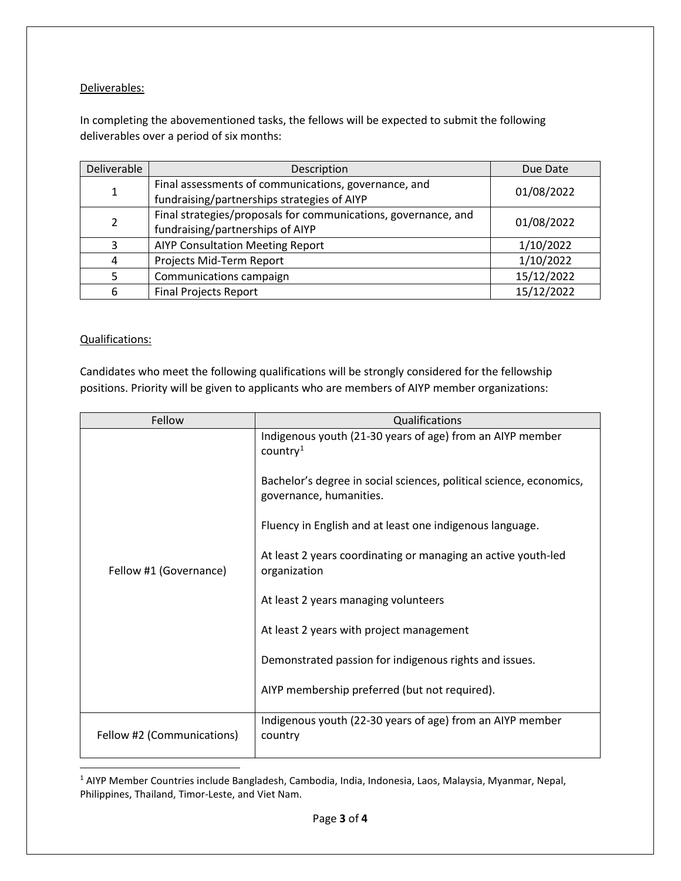## Deliverables:

In completing the abovementioned tasks, the fellows will be expected to submit the following deliverables over a period of six months:

| Deliverable    | Description                                                                                         | Due Date   |
|----------------|-----------------------------------------------------------------------------------------------------|------------|
| 1              | Final assessments of communications, governance, and<br>fundraising/partnerships strategies of AIYP | 01/08/2022 |
| $\overline{2}$ | Final strategies/proposals for communications, governance, and<br>fundraising/partnerships of AIYP  | 01/08/2022 |
| 3              | <b>AIYP Consultation Meeting Report</b>                                                             | 1/10/2022  |
| 4              | Projects Mid-Term Report                                                                            | 1/10/2022  |
| 5              | Communications campaign                                                                             | 15/12/2022 |
| 6              | <b>Final Projects Report</b>                                                                        | 15/12/2022 |

## Qualifications:

Candidates who meet the following qualifications will be strongly considered for the fellowship positions. Priority will be given to applicants who are members of AIYP member organizations:

| Fellow                     | Qualifications                                                                                                                                                                                                                                                                                                                                                                                                                                                                 |
|----------------------------|--------------------------------------------------------------------------------------------------------------------------------------------------------------------------------------------------------------------------------------------------------------------------------------------------------------------------------------------------------------------------------------------------------------------------------------------------------------------------------|
| Fellow #1 (Governance)     | Indigenous youth (21-30 years of age) from an AIYP member<br>country <sup>1</sup><br>Bachelor's degree in social sciences, political science, economics,<br>governance, humanities.<br>Fluency in English and at least one indigenous language.<br>At least 2 years coordinating or managing an active youth-led<br>organization<br>At least 2 years managing volunteers<br>At least 2 years with project management<br>Demonstrated passion for indigenous rights and issues. |
|                            | AIYP membership preferred (but not required).                                                                                                                                                                                                                                                                                                                                                                                                                                  |
|                            | Indigenous youth (22-30 years of age) from an AIYP member                                                                                                                                                                                                                                                                                                                                                                                                                      |
| Fellow #2 (Communications) | country                                                                                                                                                                                                                                                                                                                                                                                                                                                                        |

<span id="page-2-0"></span><sup>1</sup> AIYP Member Countries include Bangladesh, Cambodia, India, Indonesia, Laos, Malaysia, Myanmar, Nepal, Philippines, Thailand, Timor-Leste, and Viet Nam.